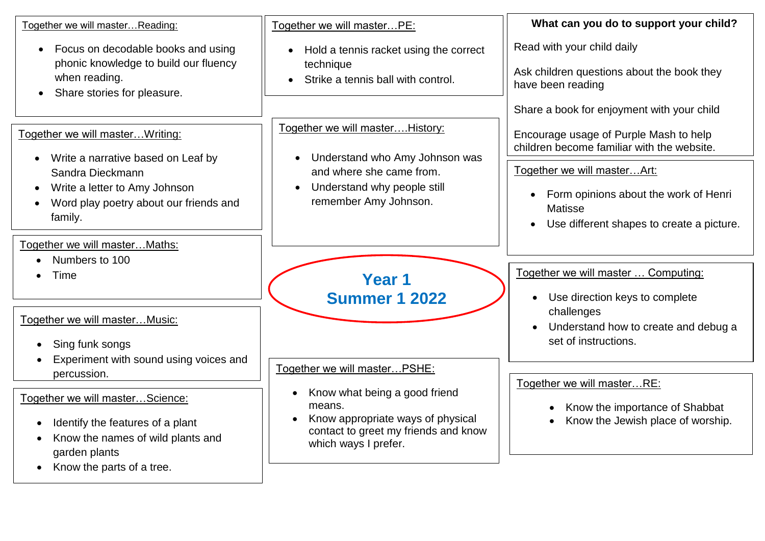| Together we will masterReading:<br>Focus on decodable books and using<br>$\bullet$<br>phonic knowledge to build our fluency                                                      | Together we will masterPE:<br>Hold a tennis racket using the correct<br>$\bullet$<br>technique                                                            | What can you do to support your child?<br>Read with your child daily                                                           |
|----------------------------------------------------------------------------------------------------------------------------------------------------------------------------------|-----------------------------------------------------------------------------------------------------------------------------------------------------------|--------------------------------------------------------------------------------------------------------------------------------|
|                                                                                                                                                                                  |                                                                                                                                                           |                                                                                                                                |
| when reading.<br>Share stories for pleasure.<br>$\bullet$                                                                                                                        | Strike a tennis ball with control.                                                                                                                        | Ask children questions about the book they<br>have been reading                                                                |
|                                                                                                                                                                                  |                                                                                                                                                           | Share a book for enjoyment with your child                                                                                     |
| Together we will master Writing:<br>Write a narrative based on Leaf by                                                                                                           | Together we will master History:<br>Understand who Amy Johnson was                                                                                        | Encourage usage of Purple Mash to help<br>children become familiar with the website.                                           |
| $\bullet$<br>Sandra Dieckmann<br>Write a letter to Amy Johnson<br>$\bullet$<br>Word play poetry about our friends and<br>family.                                                 | and where she came from.<br>Understand why people still<br>remember Amy Johnson.                                                                          | Together we will master Art:                                                                                                   |
|                                                                                                                                                                                  |                                                                                                                                                           | Form opinions about the work of Henri<br>$\bullet$<br><b>Matisse</b><br>Use different shapes to create a picture.<br>$\bullet$ |
| Together we will masterMaths:                                                                                                                                                    |                                                                                                                                                           |                                                                                                                                |
| Numbers to 100<br>Time                                                                                                                                                           | Year 1<br><b>Summer 1 2022</b>                                                                                                                            | Together we will master  Computing:<br>Use direction keys to complete<br>$\bullet$                                             |
| Together we will master Music:<br>Sing funk songs<br>$\bullet$<br>Experiment with sound using voices and                                                                         |                                                                                                                                                           | challenges<br>Understand how to create and debug a<br>set of instructions.                                                     |
| percussion.                                                                                                                                                                      | Together we will masterPSHE:                                                                                                                              |                                                                                                                                |
| Together we will masterScience:<br>Identify the features of a plant<br>$\bullet$<br>Know the names of wild plants and<br>$\bullet$<br>garden plants<br>Know the parts of a tree. | Know what being a good friend<br>means.<br>Know appropriate ways of physical<br>$\bullet$<br>contact to greet my friends and know<br>which ways I prefer. | Together we will masterRE:<br>Know the importance of Shabbat<br>$\bullet$<br>Know the Jewish place of worship.<br>$\bullet$    |